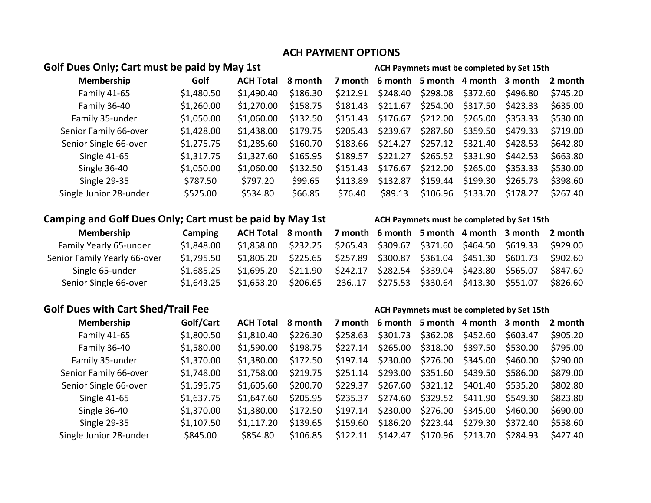### **ACH PAYMENT OPTIONS**

## Golf Dues Only; Cart must be paid by May 1st **ACH Paymnets must be completed by Set 15th**

| Membership             | Golf       | <b>ACH Total</b> | 8 month  |          |          |          |          | 7 month 6 month 5 month 4 month 3 month | 2 month  |
|------------------------|------------|------------------|----------|----------|----------|----------|----------|-----------------------------------------|----------|
| Family 41-65           | \$1,480.50 | \$1,490.40       | \$186.30 | \$212.91 | \$248.40 | \$298.08 | \$372.60 | \$496.80                                | \$745.20 |
| Family 36-40           | \$1,260.00 | \$1,270.00       | \$158.75 | \$181.43 | \$211.67 | \$254.00 | \$317.50 | \$423.33                                | \$635.00 |
| Family 35-under        | \$1,050.00 | \$1,060.00       | \$132.50 | \$151.43 | \$176.67 | \$212.00 | \$265.00 | \$353.33                                | \$530.00 |
| Senior Family 66-over  | \$1,428.00 | \$1,438.00       | \$179.75 | \$205.43 | \$239.67 | \$287.60 | \$359.50 | \$479.33                                | \$719.00 |
| Senior Single 66-over  | \$1,275.75 | \$1,285.60       | \$160.70 | \$183.66 | \$214.27 | \$257.12 | \$321.40 | \$428.53                                | \$642.80 |
| <b>Single 41-65</b>    | \$1,317.75 | \$1,327.60       | \$165.95 | \$189.57 | \$221.27 | \$265.52 | \$331.90 | \$442.53                                | \$663.80 |
| Single 36-40           | \$1,050.00 | \$1,060.00       | \$132.50 | \$151.43 | \$176.67 | \$212.00 | \$265.00 | \$353.33                                | \$530.00 |
| <b>Single 29-35</b>    | \$787.50   | \$797.20         | \$99.65  | \$113.89 | \$132.87 | \$159.44 | \$199.30 | \$265.73                                | \$398.60 |
| Single Junior 28-under | \$525.00   | \$534.80         | \$66.85  | \$76.40  | \$89.13  | \$106.96 | \$133.70 | \$178.27                                | \$267.40 |

# **Camping and Golf Dues Only; Cart must be paid by May 1st ACH Paymnets must be completed by Set 15th**

| Camping    |  |  |  |                                                                                                                                                                                                                                                                                                                                                                           |
|------------|--|--|--|---------------------------------------------------------------------------------------------------------------------------------------------------------------------------------------------------------------------------------------------------------------------------------------------------------------------------------------------------------------------------|
| \$1,848.00 |  |  |  |                                                                                                                                                                                                                                                                                                                                                                           |
| \$1,795.50 |  |  |  |                                                                                                                                                                                                                                                                                                                                                                           |
| \$1,685.25 |  |  |  |                                                                                                                                                                                                                                                                                                                                                                           |
| \$1,643.25 |  |  |  | \$826.60                                                                                                                                                                                                                                                                                                                                                                  |
|            |  |  |  | ACH Total 8 month 7 month 6 month 5 month 4 month 3 month 2 month<br>\$1,858.00 \$232.25 \$265.43 \$309.67 \$371.60 \$464.50 \$619.33 \$929.00<br>\$1,805.20 \$225.65 \$257.89 \$300.87 \$361.04 \$451.30 \$601.73 \$902.60<br>\$1,695.20 \$211.90 \$242.17 \$282.54 \$339.04 \$423.80 \$565.07 \$847.60<br>\$1,653.20 \$206.65 23617 \$275.53 \$330.64 \$413.30 \$551.07 |

### Golf Dues with Cart Shed/Trail Fee **Ack Act Act Paymnets must be completed by Set 15th**

| Membership             | Golf/Cart  | <b>ACH Total</b> | 8 month  |          |          |          |          | 7 month 6 month 5 month 4 month 3 month | 2 month  |
|------------------------|------------|------------------|----------|----------|----------|----------|----------|-----------------------------------------|----------|
| Family 41-65           | \$1,800.50 | \$1,810.40       | \$226.30 | \$258.63 | \$301.73 | \$362.08 | \$452.60 | \$603.47                                | \$905.20 |
| Family 36-40           | \$1,580.00 | \$1,590.00       | \$198.75 | \$227.14 | \$265.00 | \$318.00 | \$397.50 | \$530.00                                | \$795.00 |
| Family 35-under        | \$1,370.00 | \$1,380.00       | \$172.50 | \$197.14 | \$230.00 | \$276.00 | \$345.00 | \$460.00                                | \$290.00 |
| Senior Family 66-over  | \$1,748.00 | \$1,758.00       | \$219.75 | \$251.14 | \$293.00 | \$351.60 | \$439.50 | \$586.00                                | \$879.00 |
| Senior Single 66-over  | \$1,595.75 | \$1,605.60       | \$200.70 | \$229.37 | \$267.60 | \$321.12 | \$401.40 | \$535.20                                | \$802.80 |
| <b>Single 41-65</b>    | \$1,637.75 | \$1,647.60       | \$205.95 | \$235.37 | \$274.60 | \$329.52 | \$411.90 | \$549.30                                | \$823.80 |
| Single 36-40           | \$1,370.00 | \$1,380.00       | \$172.50 | \$197.14 | \$230.00 | \$276.00 | \$345.00 | \$460.00                                | \$690.00 |
| Single 29-35           | \$1,107.50 | \$1,117.20       | \$139.65 | \$159.60 | \$186.20 | \$223.44 | \$279.30 | \$372.40                                | \$558.60 |
| Single Junior 28-under | \$845.00   | \$854.80         | \$106.85 | \$122.11 | \$142.47 | \$170.96 | \$213.70 | \$284.93                                | \$427.40 |